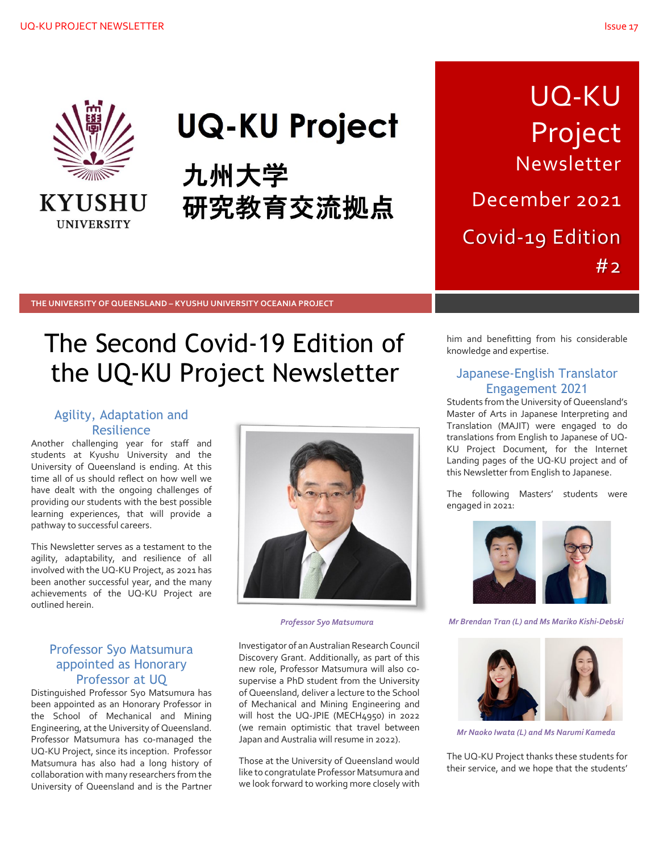

**KYUSHU UNIVERSITY** 

# **UQ-KU Project**

九州大学 研究教育交流拠点

UQ-KU Project Newsletter December 2021

Covid-19 Edition #2

**THE UNIVERSITY OF QUEENSLAND – KYUSHU UNIVERSITY OCEANIA PROJECT**

## The Second Covid-19 Edition of the UQ-KU Project Newsletter

## Agility, Adaptation and **Resilience**

Another challenging year for staff and students at Kyushu University and the University of Queensland is ending. At this time all of us should reflect on how well we have dealt with the ongoing challenges of providing our students with the best possible learning experiences, that will provide a pathway to successful careers.

This Newsletter serves as a testament to the agility, adaptability, and resilience of all involved with the UQ-KU Project, as 2021 has been another successful year, and the many achievements of the UQ-KU Project are outlined herein.

Investigator of an Australian Research Council Discovery Grant. Additionally, as part of this new role, Professor Matsumura will also cosupervise a PhD student from the University of Queensland, deliver a lecture to the School of Mechanical and Mining Engineering and will host the UQ-JPIE (MECH4950) in 2022 (we remain optimistic that travel between Japan and Australia will resume in 2022).

Those at the University of Queensland would like to congratulate Professor Matsumura and we look forward to working more closely with him and benefitting from his considerable knowledge and expertise.

### Japanese-English Translator Engagement 2021

Students from the University of Queensland's Master of Arts in Japanese Interpreting and Translation (MAJIT) were engaged to do translations from English to Japanese of UQ-KU Project Document, for the Internet Landing pages of the UQ-KU project and of this Newsletter from English to Japanese.

The following Masters' students were engaged in 2021:



*Professor Syo Matsumura Mr Brendan Tran (L) and Ms Mariko Kishi-Debski*



*Mr Naoko Iwata (L) and Ms Narumi Kameda*

The UQ-KU Project thanks these students for their service, and we hope that the students'

#### Professor Syo Matsumura appointed as Honorary Professor at UQ

Distinguished Professor Syo Matsumura has been appointed as an Honorary Professor in the School of Mechanical and Mining Engineering, at the University of Queensland. Professor Matsumura has co-managed the UQ-KU Project, since its inception. Professor Matsumura has also had a long history of collaboration with many researchers from the University of Queensland and is the Partner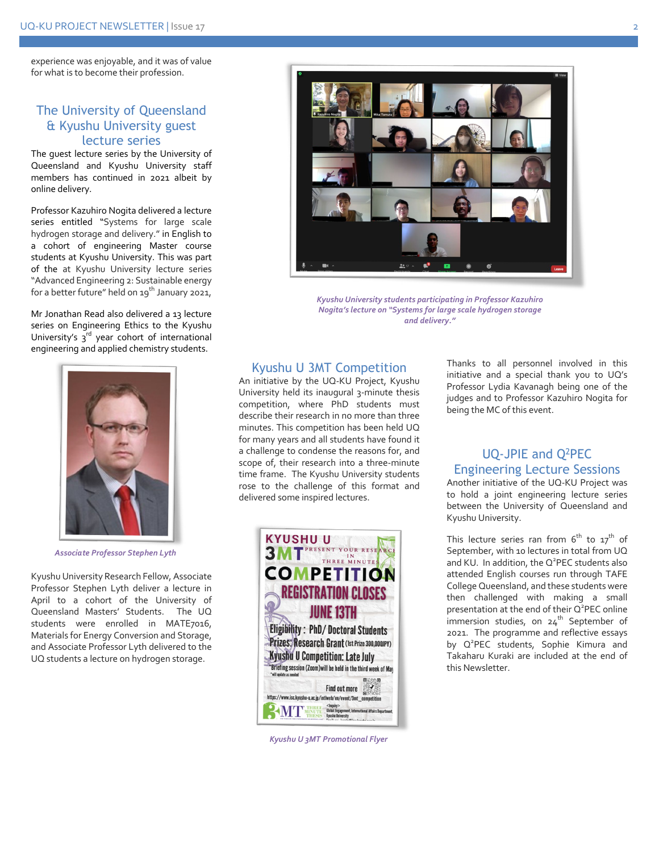experience was enjoyable, and it was of value for what is to become their profession.

#### The University of Queensland & Kyushu University guest lecture series

The guest lecture series by the University of Queensland and Kyushu University staff members has continued in 2021 albeit by online delivery.

Professor Kazuhiro Nogita delivered a lecture series entitled "Systems for large scale hydrogen storage and delivery." in English to a cohort of engineering Master course students at Kyushu University. This was part of the at Kyushu University lecture series "Advanced Engineering 2: Sustainable energy for a better future" held on  $19^{th}$  January 2021,

Mr Jonathan Read also delivered a 13 lecture series on Engineering Ethics to the Kyushu University's  $3^{rd}$  year cohort of international engineering and applied chemistry students.



*Associate Professor Stephen Lyth*

Kyushu University Research Fellow, Associate Professor Stephen Lyth deliver a lecture in April to a cohort of the University of Queensland Masters' Students. The UQ students were enrolled in MATE7016, Materials for Energy Conversion and Storage, and Associate Professor Lyth delivered to the UQ students a lecture on hydrogen storage.



*Kyushu University students participating in Professor Kazuhiro Nogita's lecture on "Systems for large scale hydrogen storage and delivery."*

#### Kyushu U 3MT Competition

An initiative by the UQ-KU Project, Kyushu University held its inaugural 3-minute thesis competition, where PhD students must describe their research in no more than three minutes. This competition has been held UQ for many years and all students have found it a challenge to condense the reasons for, and scope of, their research into a three-minute time frame. The Kyushu University students rose to the challenge of this format and delivered some inspired lectures.



*Kyushu U 3MT Promotional Flyer*

Thanks to all personnel involved in this initiative and a special thank you to UQ's Professor Lydia Kavanagh being one of the judges and to Professor Kazuhiro Nogita for being the MC of this event.

### UQ-JPIE and Q2PEC Engineering Lecture Sessions

Another initiative of the UQ-KU Project was to hold a joint engineering lecture series between the University of Queensland and Kyushu University.

This lecture series ran from  $6<sup>th</sup>$  to  $17<sup>th</sup>$  of September, with 10 lectures in total from UQ and KU. In addition, the  $Q^2$ PEC students also attended English courses run through TAFE College Queensland, and these students were then challenged with making a small presentation at the end of their Q<sup>2</sup>PEC online immersion studies, on  $24^{th}$  September of 2021. The programme and reflective essays by Q<sup>2</sup>PEC students, Sophie Kimura and Takaharu Kuraki are included at the end of this Newsletter.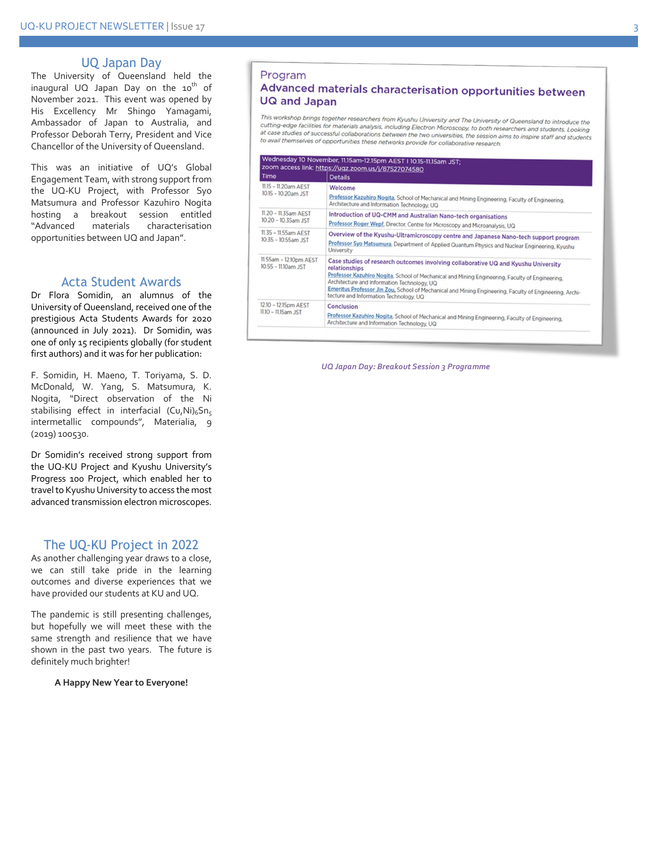#### UQ Japan Day

The University of Queensland held the inaugural UQ Japan Day on the  $10^{th}$  of November 2021. This event was opened by His Excellency Mr Shingo Yamagami, Ambassador of Japan to Australia, and Professor Deborah Terry, President and Vice Chancellor of the University of Queensland.

This was an initiative of UQ's Global Engagement Team, with strong support from the UQ -KU Project, with Professor Syo Matsumura and Professor Kazuhiro Nogita hosting a breakout session entitled "Advanced materials characterisation opportunities between UQ and Japan".

#### Acta Student Award s

Dr Flora Somidin, an alumnus of the University of Queensland, received one of the prestigious Acta Students Awards for 2020 (announced in July 2021). Dr Somidin, was one of only 15 recipients globally (for student first authors) and it was for her publication:

F. Somidin, H. Maeno, T. Toriyama, S. D. McDonald, W. Yang, S. Matsumura, K. Nogita, "Direct observation of the Ni stabilising effect in interfacial (Cu,Ni)<sub>6</sub>Sn<sub>5</sub> intermetallic compounds", Materialia, 9 (2019) 100530.

Dr Somidin's received strong support from the UQ -KU Project and Kyushu University's Progress 100 Project, which enabled her to travel to Kyushu University to access the most advanced transmission electron microscopes .

#### The UQ -KU Project in 202 2

As another challenging year draws to a close, we can still take pride in the learning outcomes and diverse experiences that we have provided our students at KU and UQ.

The pandemic is still presenting challenges, but hopefully we will meet these with the same strength and resilience that we have shown in the past two years. The future is definitely much brighter !

**A Happy New Year to Everyone!**

#### Program

#### Advanced materials characterisation opportunities between **UQ and Japan**

This workshop brings together researchers from Kyushu University and The University of Queensland to introduce the cutting-edge facilities for materials analysis, including Electron Microscopy, to both researchers and students. Looking<br>at case studies of materials analysis, including Electron Microscopy, to both researchers and student at case studies of successful collaborations between the two universities, the session aims to inspire staff and students.<br>In avail themselves of successful collaborations between the two universities, the session aims to to avail themselves of opportunities these networks provide for collaborative research.

| Time                                             | <b>Details</b><br>Welcome<br>Professor Kazuhiro Nogita, School of Mechanical and Mining Engineering, Faculty of Engineering,<br>Architecture and Information Technology, UQ                                                                                                                                                                                                                                |  |  |  |
|--------------------------------------------------|------------------------------------------------------------------------------------------------------------------------------------------------------------------------------------------------------------------------------------------------------------------------------------------------------------------------------------------------------------------------------------------------------------|--|--|--|
| 11.15 - 11.20am AEST<br>10.15 - 10.20am JST      |                                                                                                                                                                                                                                                                                                                                                                                                            |  |  |  |
| 11.20 - 11.35am AEST<br>10.20 - 10.35am JST      | Introduction of UQ-CMM and Australian Nano-tech organisations<br>Professor Roger Wepf, Director, Centre for Microscopy and Microanalysis, UQ                                                                                                                                                                                                                                                               |  |  |  |
| 11.35 - 11.55am AEST<br>10.35 - 10.55am JST      | Overview of the Kyushu-Ultramicroscopy centre and Japanese Nano-tech support program<br>Professor Syo Matsumura, Department of Applied Quantum Physics and Nuclear Engineering, Kyushu<br>University                                                                                                                                                                                                       |  |  |  |
| 11.55am - 12.10pm AEST<br>$10.55 - 1110$ am. IST | Case studies of research outcomes involving collaborative UQ and Kyushu University<br>relationships<br>Professor Kazuhiro Nogita, School of Mechanical and Mining Engineering, Faculty of Engineering,<br>Architecture and Information Technology, UQ<br>Emeritus Professor Jin Zou, School of Mechanical and Mining Engineering, Faculty of Engineering, Archi-<br>tecture and Information Technology, UQ |  |  |  |
| 12.10 - 12.15pm AEST<br>11.10 - 11.15am JST      | Conclusion<br>Professor Kazuhiro Nogita, School of Mechanical and Mining Engineering, Faculty of Engineering,<br>Architecture and Information Technology, UQ                                                                                                                                                                                                                                               |  |  |  |

*UQ Japan Day: Breakout Session 3 Programme*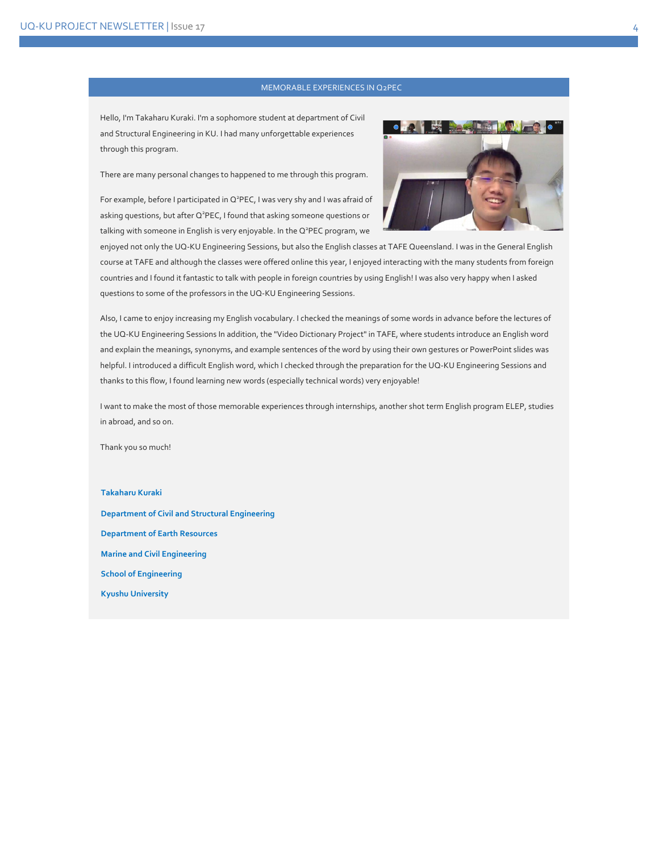#### MEMORABLE EXPERIENCES IN Q2PEC

Hello, I'm Takaharu Kuraki. I'm a sophomore student at department of Civil and Structural Engineering in KU. I had many unforgettable experiences through this program.

There are many personal changes to happened to me through this program.

For example, before I participated in Q<sup>2</sup>PEC, I was very shy and I was afraid of asking questions, but after Q<sup>2</sup>PEC, I found that asking someone questions or talking with someone in English is very enjoyable. In the  $Q^2$ PEC program, we



enjoyed not only the UQ-KU Engineering Sessions, but also the English classes at TAFE Queensland. I was in the General English course at TAFE and although the classes were offered online this year, I enjoyed interacting with the many students from foreign countries and I found it fantastic to talk with people in foreign countries by using English! I was also very happy when I asked questions to some of the professors in the UQ-KU Engineering Sessions.

Also, I came to enjoy increasing my English vocabulary. I checked the meanings of some words in advance before the lectures of the UQ-KU Engineering Sessions In addition, the "Video Dictionary Project" in TAFE, where students introduce an English word and explain the meanings, synonyms, and example sentences of the word by using their own gestures or PowerPoint slides was helpful. I introduced a difficult English word, which I checked through the preparation for the UQ-KU Engineering Sessions and thanks to this flow, I found learning new words (especially technical words) very enjoyable!

I want to make the most of those memorable experiences through internships, another shot term English program ELEP, studies in abroad, and so on.

Thank you so much!

**Takaharu Kuraki**

**Department of Civil and Structural Engineering Department of Earth Resources Marine and Civil Engineering School of Engineering Kyushu University**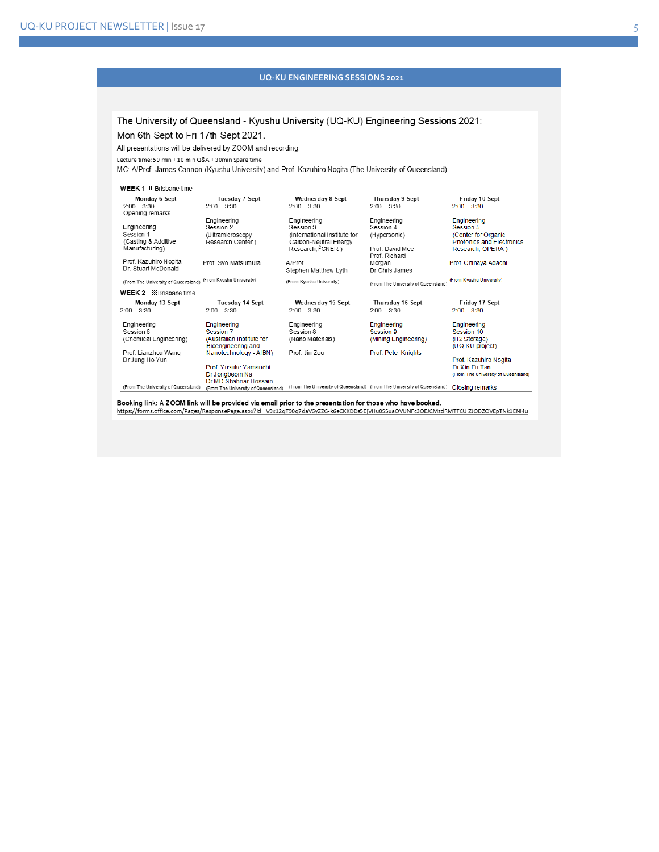#### **UQ-KU ENGINEERING SESSIONS 2021**

The University of Queensland - Kyushu University (UQ-KU) Engineering Sessions 2021: Mon 6th Sept to Fri 17th Sept 2021.

All presentations will be delivered by ZOOM and recording.

Lecture time: 50 min + 10 min Q&A + 30min Spare time

MC: A/Prof. James Cannon (Kyushu University) and Prof. Kazuhiro Nogita (The University of Queensland)

#### WEEK 1 **\*** Brisbane time

| Monday 6 Sept                        | <b>Tuesday 7 Sept</b>               | Wednesday 8 Sept             | Thursday 9 Sept                                                         | Friday 10 Sept                      |
|--------------------------------------|-------------------------------------|------------------------------|-------------------------------------------------------------------------|-------------------------------------|
| $2.00 - 3.30$                        | $2.00 - 3.30$                       | $2.00 - 3.30$                | $2.00 - 3.30$                                                           | $2.00 - 3.30$                       |
| Opening remarks                      |                                     |                              |                                                                         |                                     |
|                                      | Engineering                         | Engineering                  | Engineering                                                             | Engineering                         |
| Engineering                          | Session 2                           | Session 3                    | Session 4                                                               | Session 5                           |
| Session 1                            | (Ultramicroscopy)                   | (International Institute for | (Hypersonic)                                                            | (Center for Organic                 |
| (Casting & Additive                  | Research Center)                    | Carbon-Neutral Energy        |                                                                         | <b>Photonics and Electronics</b>    |
| Manufacturing)                       |                                     | Research, PCNER)             | Prof. David Mee<br>Prof. Richard                                        | Research, OPERA)                    |
| Prof. Kazuhiro Nogita                | Prof. Syo Matsumura                 | A/Prof                       | Morgan                                                                  | Prof. Chihaya Adachi                |
| Dr. Stuart McDonald                  |                                     | Stephen Matthew Lyth         | Dr Chris James                                                          |                                     |
| (From The University of Queensland)  | (From Kyushu University)            | (From Kyushu University)     | (From The University of Queensland)                                     | (From Kyushu University)            |
| WEEK 2 <b><i>X</i></b> Brisbane time |                                     |                              |                                                                         |                                     |
| Monday 13 Sept                       | Tuesday 14 Sept                     | Wednesday 15 Sept            | Thursday 16 Sept                                                        | Friday 17 Sept                      |
| $2:00 - 3:30$                        | $2.00 - 3.30$                       | $2.00 - 3.30$                | $2.00 - 3.30$                                                           | $2.00 - 3.30$                       |
| Engineering                          | Engineering                         | Engineering                  | Engineering                                                             | Engineering                         |
| Session 6                            | Session 7                           | Session 8                    | Session 9                                                               | Session 10                          |
| (Chemical Engineering)               | (Australian Institute for           | (Nano Materials)             | (Mining Engineering)                                                    | (H <sub>2</sub> Storage)            |
|                                      | Bioengineering and                  |                              |                                                                         | (UQ-KU project)                     |
| Prof. Lianzhou Wang                  | Nanotechnology - AIBN)              | Prof. Jin Zou                | Prof. Peter Knights                                                     |                                     |
| Dr Jung Ho Yun                       |                                     |                              |                                                                         | Prof. Kazuhiro Nogita               |
|                                      | Prof. Yusuke Yamauchi               |                              |                                                                         | Dr Xin Fu Tan                       |
|                                      | Dr Jongbeom Na                      |                              |                                                                         | (From The University of Queensland) |
|                                      | Dr MD Shahriar Hossain              |                              |                                                                         |                                     |
| (From The University of Queensland)  | (From The University of Queensland) |                              | (From The University of Queensland) (From The University of Queensland) | Closing remarks                     |

Booking link: A ZOOM link will be provided via email prior to the presentation for those who have booked.

https://forms.office.com/Pages/ResponsePage.aspx?id=iV9x12qT90q7daV6yZZG-k6eCKKDDs5EjVHu0SSuaOVUNFc3OEJCMzdRMTFCUlZJODZOVEpTNk1ENi4u